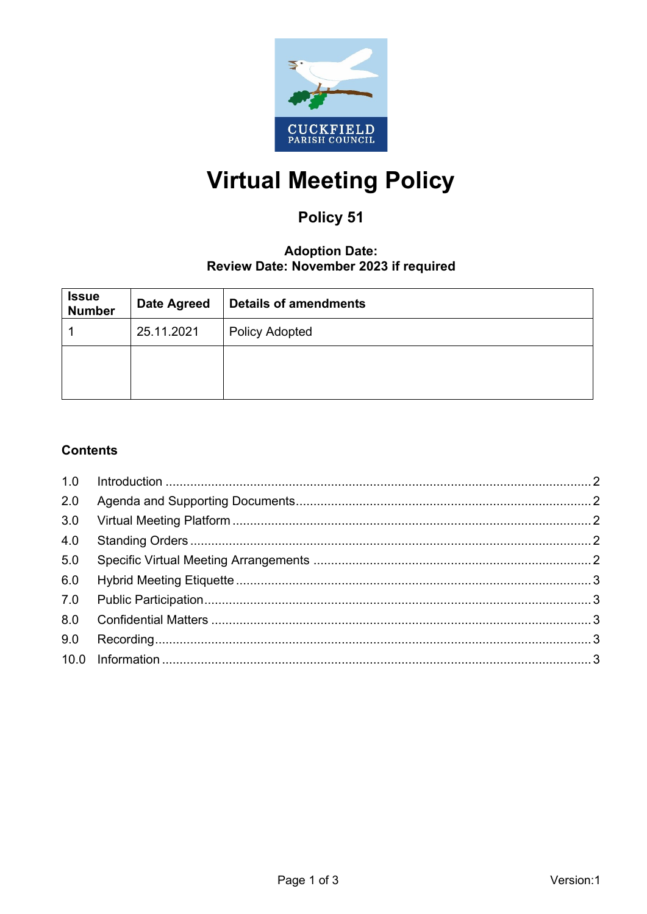

# **Virtual Meeting Policy**

# Policy 51

# **Adoption Date:** Review Date: November 2023 if required

| <b>Issue</b><br><b>Number</b> | <b>Date Agreed</b> | <b>Details of amendments</b> |
|-------------------------------|--------------------|------------------------------|
|                               | 25.11.2021         | <b>Policy Adopted</b>        |
|                               |                    |                              |
|                               |                    |                              |

# **Contents**

| 2.0 |  |
|-----|--|
| 3.0 |  |
| 4.0 |  |
| 5.0 |  |
| 6.0 |  |
|     |  |
| 8.0 |  |
| 9.0 |  |
|     |  |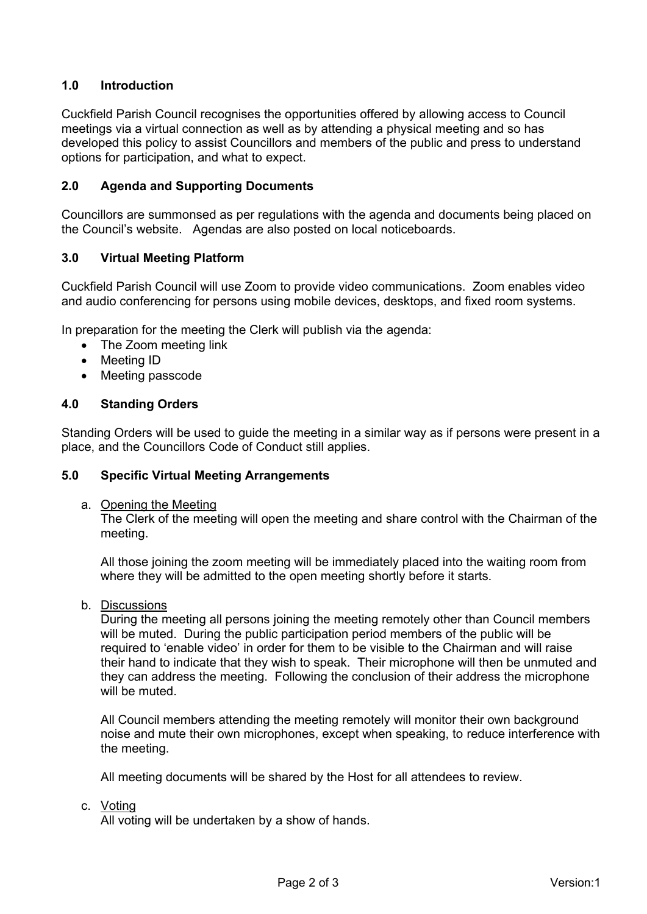# <span id="page-1-0"></span>**1.0 Introduction**

Cuckfield Parish Council recognises the opportunities offered by allowing access to Council meetings via a virtual connection as well as by attending a physical meeting and so has developed this policy to assist Councillors and members of the public and press to understand options for participation, and what to expect.

# <span id="page-1-1"></span>**2.0 Agenda and Supporting Documents**

Councillors are summonsed as per regulations with the agenda and documents being placed on the Council's website. Agendas are also posted on local noticeboards.

# <span id="page-1-2"></span>**3.0 Virtual Meeting Platform**

Cuckfield Parish Council will use Zoom to provide video communications. Zoom enables video and audio conferencing for persons using mobile devices, desktops, and fixed room systems.

In preparation for the meeting the Clerk will publish via the agenda:

- The Zoom meeting link
- Meeting ID
- Meeting passcode

#### <span id="page-1-3"></span>**4.0 Standing Orders**

Standing Orders will be used to guide the meeting in a similar way as if persons were present in a place, and the Councillors Code of Conduct still applies.

#### <span id="page-1-4"></span>**5.0 Specific Virtual Meeting Arrangements**

a. Opening the Meeting

The Clerk of the meeting will open the meeting and share control with the Chairman of the meeting.

All those joining the zoom meeting will be immediately placed into the waiting room from where they will be admitted to the open meeting shortly before it starts.

b. Discussions

During the meeting all persons joining the meeting remotely other than Council members will be muted. During the public participation period members of the public will be required to 'enable video' in order for them to be visible to the Chairman and will raise their hand to indicate that they wish to speak. Their microphone will then be unmuted and they can address the meeting. Following the conclusion of their address the microphone will be muted.

All Council members attending the meeting remotely will monitor their own background noise and mute their own microphones, except when speaking, to reduce interference with the meeting.

All meeting documents will be shared by the Host for all attendees to review.

c. Voting

All voting will be undertaken by a show of hands.